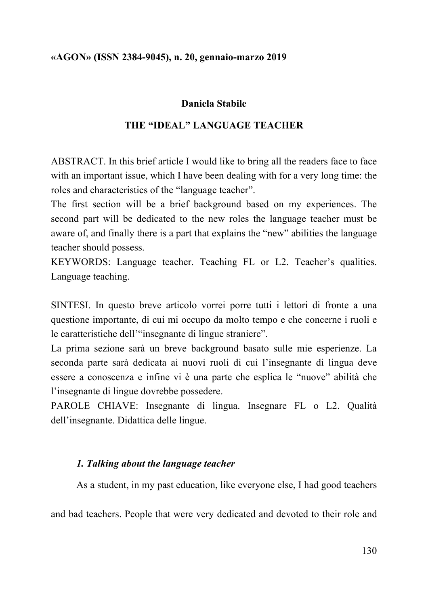## **Daniela Stabile**

## **THE "IDEAL" LANGUAGE TEACHER**

ABSTRACT. In this brief article I would like to bring all the readers face to face with an important issue, which I have been dealing with for a very long time: the roles and characteristics of the "language teacher".

The first section will be a brief background based on my experiences. The second part will be dedicated to the new roles the language teacher must be aware of, and finally there is a part that explains the "new" abilities the language teacher should possess.

KEYWORDS: Language teacher. Teaching FL or L2. Teacher's qualities. Language teaching.

SINTESI. In questo breve articolo vorrei porre tutti i lettori di fronte a una questione importante, di cui mi occupo da molto tempo e che concerne i ruoli e le caratteristiche dell'"insegnante di lingue straniere".

La prima sezione sarà un breve background basato sulle mie esperienze. La seconda parte sarà dedicata ai nuovi ruoli di cui l'insegnante di lingua deve essere a conoscenza e infine vi è una parte che esplica le "nuove" abilità che l'insegnante di lingue dovrebbe possedere.

PAROLE CHIAVE: Insegnante di lingua. Insegnare FL o L2. Qualità dell'insegnante. Didattica delle lingue.

## *1. Talking about the language teacher*

As a student, in my past education, like everyone else, I had good teachers

and bad teachers. People that were very dedicated and devoted to their role and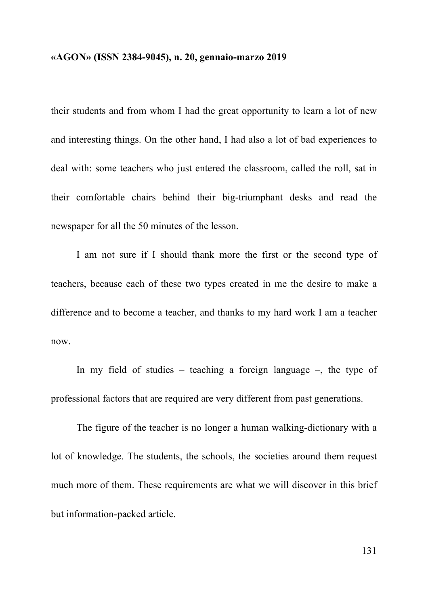their students and from whom I had the great opportunity to learn a lot of new and interesting things. On the other hand, I had also a lot of bad experiences to deal with: some teachers who just entered the classroom, called the roll, sat in their comfortable chairs behind their big-triumphant desks and read the newspaper for all the 50 minutes of the lesson.

I am not sure if I should thank more the first or the second type of teachers, because each of these two types created in me the desire to make a difference and to become a teacher, and thanks to my hard work I am a teacher now.

In my field of studies – teaching a foreign language –, the type of professional factors that are required are very different from past generations.

The figure of the teacher is no longer a human walking-dictionary with a lot of knowledge. The students, the schools, the societies around them request much more of them. These requirements are what we will discover in this brief but information-packed article.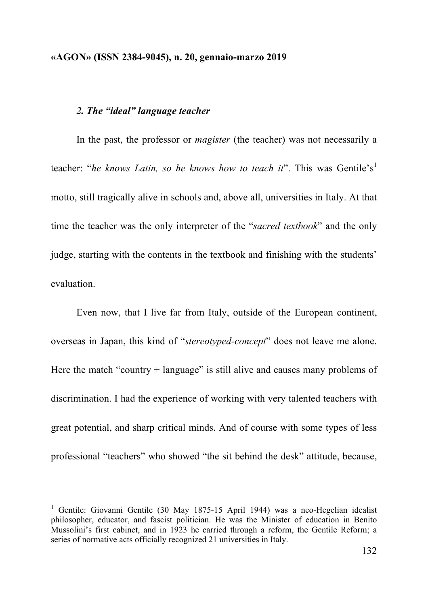### *2. The "ideal" language teacher*

l

In the past, the professor or *magister* (the teacher) was not necessarily a teacher: "he knows Latin, so he knows how to teach it". This was Gentile's<sup>1</sup> motto, still tragically alive in schools and, above all, universities in Italy. At that time the teacher was the only interpreter of the "*sacred textbook*" and the only judge, starting with the contents in the textbook and finishing with the students' evaluation.

Even now, that I live far from Italy, outside of the European continent, overseas in Japan, this kind of "*stereotyped-concept*" does not leave me alone. Here the match "country + language" is still alive and causes many problems of discrimination. I had the experience of working with very talented teachers with great potential, and sharp critical minds. And of course with some types of less professional "teachers" who showed "the sit behind the desk" attitude, because,

<sup>&</sup>lt;sup>1</sup> Gentile: Giovanni Gentile (30 May 1875-15 April 1944) was a neo-Hegelian idealist philosopher, educator, and fascist politician. He was the Minister of education in Benito Mussolini's first cabinet, and in 1923 he carried through a reform, the Gentile Reform; a series of normative acts officially recognized 21 universities in Italy.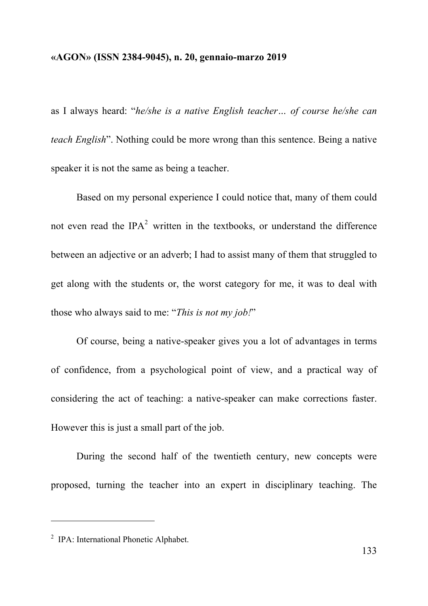as I always heard: "*he/she is a native English teacher… of course he/she can teach English*". Nothing could be more wrong than this sentence. Being a native speaker it is not the same as being a teacher.

Based on my personal experience I could notice that, many of them could not even read the  $IPA^2$  written in the textbooks, or understand the difference between an adjective or an adverb; I had to assist many of them that struggled to get along with the students or, the worst category for me, it was to deal with those who always said to me: "*This is not my job!*"

Of course, being a native-speaker gives you a lot of advantages in terms of confidence, from a psychological point of view, and a practical way of considering the act of teaching: a native-speaker can make corrections faster. However this is just a small part of the job.

During the second half of the twentieth century, new concepts were proposed, turning the teacher into an expert in disciplinary teaching. The

l

<sup>2</sup> IPA: International Phonetic Alphabet.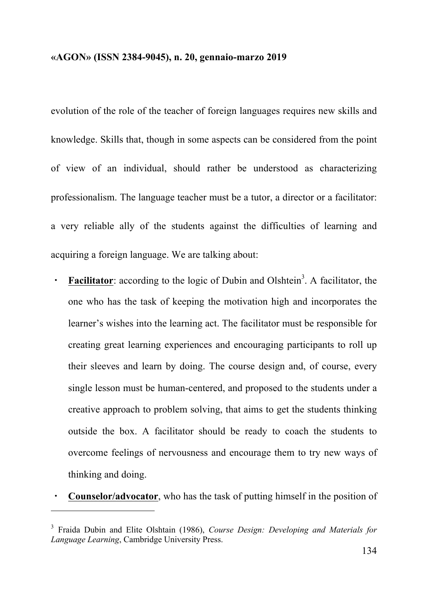evolution of the role of the teacher of foreign languages requires new skills and knowledge. Skills that, though in some aspects can be considered from the point of view of an individual, should rather be understood as characterizing professionalism. The language teacher must be a tutor, a director or a facilitator: a very reliable ally of the students against the difficulties of learning and acquiring a foreign language. We are talking about:

- **Facilitator**: according to the logic of Dubin and Olshtein<sup>3</sup>. A facilitator, the one who has the task of keeping the motivation high and incorporates the learner's wishes into the learning act. The facilitator must be responsible for creating great learning experiences and encouraging participants to roll up their sleeves and learn by doing. The course design and, of course, every single lesson must be human-centered, and proposed to the students under a creative approach to problem solving, that aims to get the students thinking outside the box. A facilitator should be ready to coach the students to overcome feelings of nervousness and encourage them to try new ways of thinking and doing.
- **Counselor/advocator**, who has the task of putting himself in the position of

l

<sup>3</sup> Fraida Dubin and Elite Olshtain (1986), *Course Design: Developing and Materials for Language Learning*, Cambridge University Press.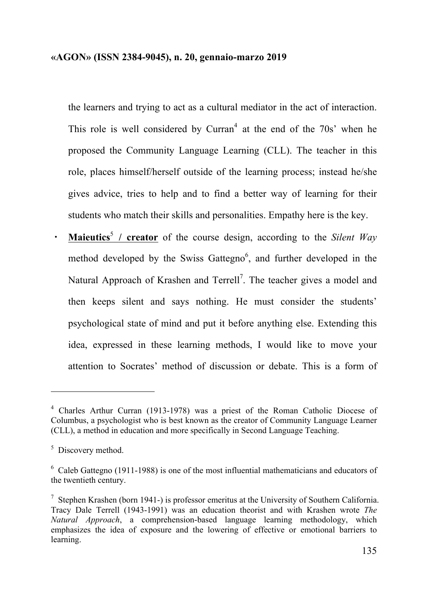the learners and trying to act as a cultural mediator in the act of interaction. This role is well considered by Curran<sup>4</sup> at the end of the  $70s<sup>3</sup>$  when he proposed the Community Language Learning (CLL). The teacher in this role, places himself/herself outside of the learning process; instead he/she gives advice, tries to help and to find a better way of learning for their students who match their skills and personalities. Empathy here is the key.

・ **Maieutics** <sup>5</sup> **/ creator** of the course design, according to the *Silent Way* method developed by the Swiss Gattegno<sup>6</sup>, and further developed in the Natural Approach of Krashen and Terrell<sup>7</sup>. The teacher gives a model and then keeps silent and says nothing. He must consider the students' psychological state of mind and put it before anything else. Extending this idea, expressed in these learning methods, I would like to move your attention to Socrates' method of discussion or debate. This is a form of

l

<sup>4</sup> Charles Arthur Curran (1913-1978) was a priest of the Roman Catholic Diocese of Columbus, a psychologist who is best known as the creator of Community Language Learner (CLL), a method in education and more specifically in Second Language Teaching.

<sup>&</sup>lt;sup>5</sup> Discovery method.

<sup>6</sup> Caleb Gattegno (1911-1988) is one of the most influential mathematicians and educators of the twentieth century.

<sup>&</sup>lt;sup>7</sup> Stephen Krashen (born 1941-) is professor emeritus at the University of Southern California. Tracy Dale Terrell (1943-1991) was an education theorist and with Krashen wrote *The Natural Approach*, a comprehension-based language learning methodology, which emphasizes the idea of exposure and the lowering of effective or emotional barriers to learning.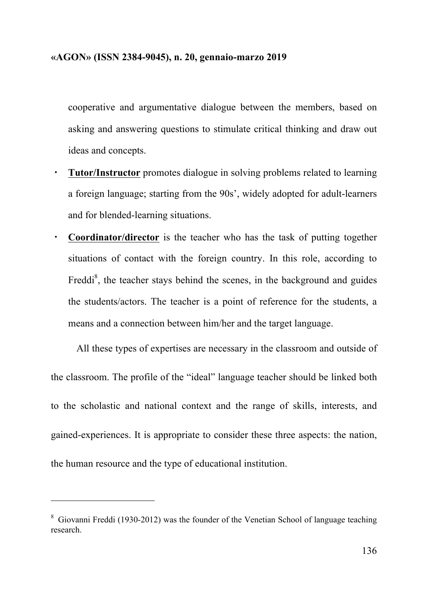cooperative and argumentative dialogue between the members, based on asking and answering questions to stimulate critical thinking and draw out ideas and concepts.

- ・ **Tutor/Instructor** promotes dialogue in solving problems related to learning a foreign language; starting from the 90s', widely adopted for adult-learners and for blended-learning situations.
- ・ **Coordinator/director** is the teacher who has the task of putting together situations of contact with the foreign country. In this role, according to Freddi<sup>8</sup>, the teacher stays behind the scenes, in the background and guides the students/actors. The teacher is a point of reference for the students, a means and a connection between him/her and the target language.

All these types of expertises are necessary in the classroom and outside of the classroom. The profile of the "ideal" language teacher should be linked both to the scholastic and national context and the range of skills, interests, and gained-experiences. It is appropriate to consider these three aspects: the nation, the human resource and the type of educational institution.

<sup>8</sup> Giovanni Freddi (1930-2012) was the founder of the Venetian School of language teaching research.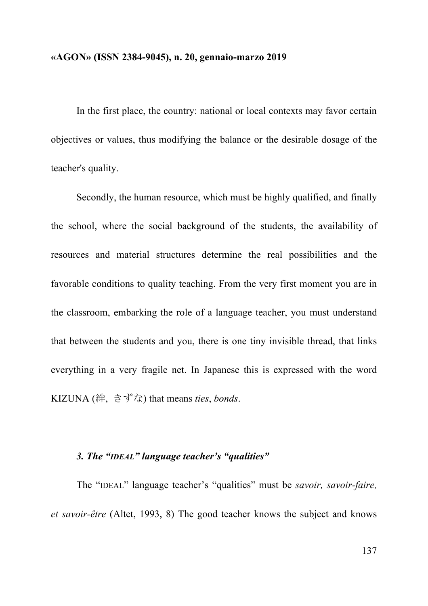In the first place, the country: national or local contexts may favor certain objectives or values, thus modifying the balance or the desirable dosage of the teacher's quality.

Secondly, the human resource, which must be highly qualified, and finally the school, where the social background of the students, the availability of resources and material structures determine the real possibilities and the favorable conditions to quality teaching. From the very first moment you are in the classroom, embarking the role of a language teacher, you must understand that between the students and you, there is one tiny invisible thread, that links everything in a very fragile net. In Japanese this is expressed with the word KIZUNA (絆, きずな) that means *ties*, *bonds*.

# *3. The "IDEAL" language teacher's "qualities"*

The "IDEAL" language teacher's "qualities" must be *savoir, savoir-faire, et savoir-être* (Altet, 1993, 8) The good teacher knows the subject and knows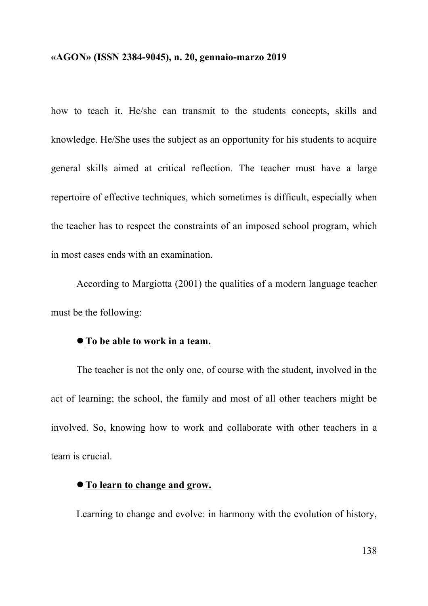how to teach it. He/she can transmit to the students concepts, skills and knowledge. He/She uses the subject as an opportunity for his students to acquire general skills aimed at critical reflection. The teacher must have a large repertoire of effective techniques, which sometimes is difficult, especially when the teacher has to respect the constraints of an imposed school program, which in most cases ends with an examination.

According to Margiotta (2001) the qualities of a modern language teacher must be the following:

## l **To be able to work in a team.**

The teacher is not the only one, of course with the student, involved in the act of learning; the school, the family and most of all other teachers might be involved. So, knowing how to work and collaborate with other teachers in a team is crucial.

# l **To learn to change and grow.**

Learning to change and evolve: in harmony with the evolution of history,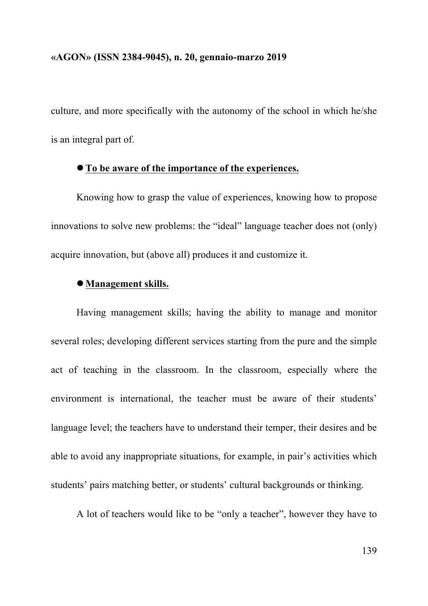culture, and more specifically with the autonomy of the school in which he/she is an integral part of.

## l **To be aware of the importance of the experiences.**

Knowing how to grasp the value of experiences, knowing how to propose innovations to solve new problems: the "ideal" language teacher does not (only) acquire innovation, but (above all) produces it and customize it.

## l**Management skills.**

Having management skills; having the ability to manage and monitor several roles; developing different services starting from the pure and the simple act of teaching in the classroom. In the classroom, especially where the environment is international, the teacher must be aware of their students' language level; the teachers have to understand their temper, their desires and be able to avoid any inappropriate situations, for example, in pair's activities which students' pairs matching better, or students' cultural backgrounds or thinking.

A lot of teachers would like to be "only a teacher", however they have to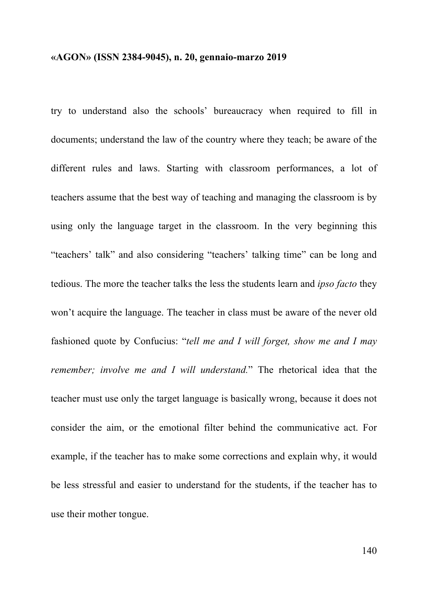try to understand also the schools' bureaucracy when required to fill in documents; understand the law of the country where they teach; be aware of the different rules and laws. Starting with classroom performances, a lot of teachers assume that the best way of teaching and managing the classroom is by using only the language target in the classroom. In the very beginning this "teachers' talk" and also considering "teachers' talking time" can be long and tedious. The more the teacher talks the less the students learn and *ipso facto* they won't acquire the language. The teacher in class must be aware of the never old fashioned quote by Confucius: "*tell me and I will forget, show me and I may remember; involve me and I will understand.*" The rhetorical idea that the teacher must use only the target language is basically wrong, because it does not consider the aim, or the emotional filter behind the communicative act. For example, if the teacher has to make some corrections and explain why, it would be less stressful and easier to understand for the students, if the teacher has to use their mother tongue.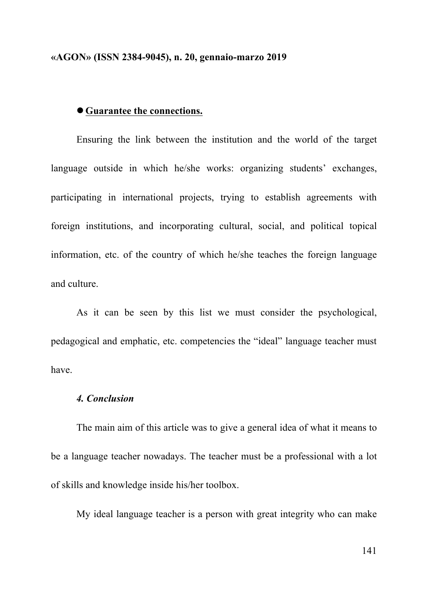### l**Guarantee the connections.**

Ensuring the link between the institution and the world of the target language outside in which he/she works: organizing students' exchanges, participating in international projects, trying to establish agreements with foreign institutions, and incorporating cultural, social, and political topical information, etc. of the country of which he/she teaches the foreign language and culture.

As it can be seen by this list we must consider the psychological, pedagogical and emphatic, etc. competencies the "ideal" language teacher must have.

## *4. Conclusion*

The main aim of this article was to give a general idea of what it means to be a language teacher nowadays. The teacher must be a professional with a lot of skills and knowledge inside his/her toolbox.

My ideal language teacher is a person with great integrity who can make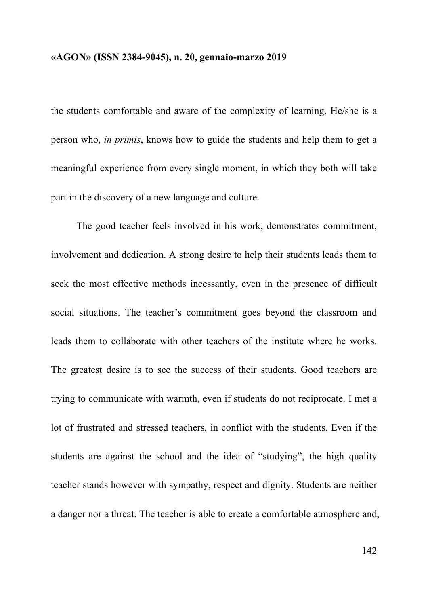the students comfortable and aware of the complexity of learning. He/she is a person who, *in primis*, knows how to guide the students and help them to get a meaningful experience from every single moment, in which they both will take part in the discovery of a new language and culture.

The good teacher feels involved in his work, demonstrates commitment, involvement and dedication. A strong desire to help their students leads them to seek the most effective methods incessantly, even in the presence of difficult social situations. The teacher's commitment goes beyond the classroom and leads them to collaborate with other teachers of the institute where he works. The greatest desire is to see the success of their students. Good teachers are trying to communicate with warmth, even if students do not reciprocate. I met a lot of frustrated and stressed teachers, in conflict with the students. Even if the students are against the school and the idea of "studying", the high quality teacher stands however with sympathy, respect and dignity. Students are neither a danger nor a threat. The teacher is able to create a comfortable atmosphere and,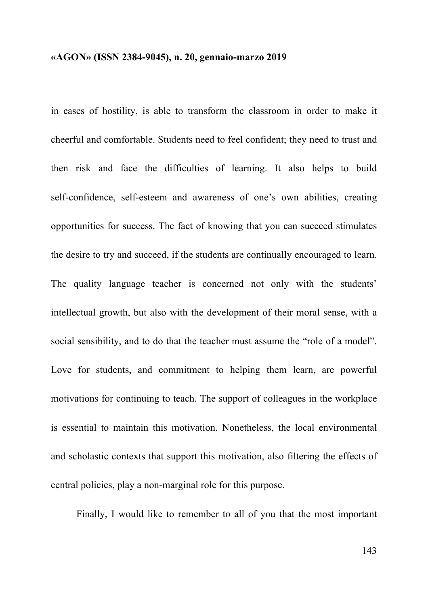in cases of hostility, is able to transform the classroom in order to make it cheerful and comfortable. Students need to feel confident; they need to trust and then risk and face the difficulties of learning. It also helps to build self-confidence, self-esteem and awareness of one's own abilities, creating opportunities for success. The fact of knowing that you can succeed stimulates the desire to try and succeed, if the students are continually encouraged to learn. The quality language teacher is concerned not only with the students' intellectual growth, but also with the development of their moral sense, with a social sensibility, and to do that the teacher must assume the "role of a model". Love for students, and commitment to helping them learn, are powerful motivations for continuing to teach. The support of colleagues in the workplace is essential to maintain this motivation. Nonetheless, the local environmental and scholastic contexts that support this motivation, also filtering the effects of central policies, play a non-marginal role for this purpose.

Finally, I would like to remember to all of you that the most important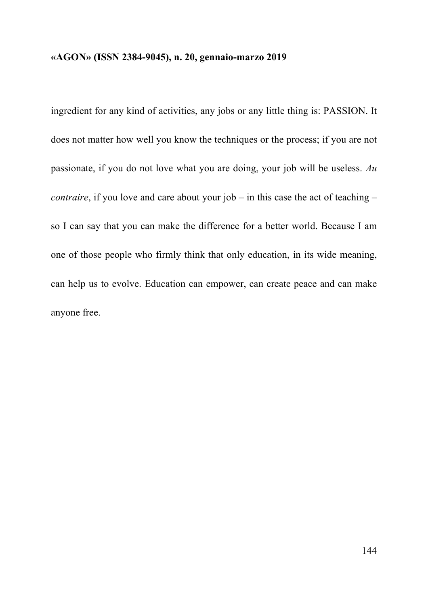ingredient for any kind of activities, any jobs or any little thing is: PASSION. It does not matter how well you know the techniques or the process; if you are not passionate, if you do not love what you are doing, your job will be useless. *Au contraire*, if you love and care about your job – in this case the act of teaching – so I can say that you can make the difference for a better world. Because I am one of those people who firmly think that only education, in its wide meaning, can help us to evolve. Education can empower, can create peace and can make anyone free.